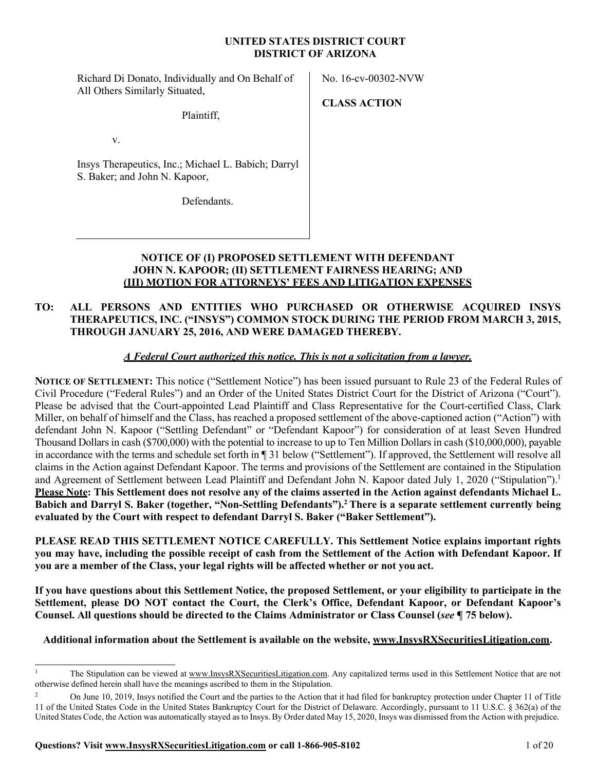#### **UNITED STATES DISTRICT COURT DISTRICT OF ARIZONA**

Richard Di Donato, Individually and On Behalf of All Others Similarly Situated,

No. 16-cv-00302-NVW

Plaintiff,

v.

Insys Therapeutics, Inc.; Michael L. Babich; Darryl S. Baker; and John N. Kapoor,

Defendants.

**CLASS ACTION**

### **NOTICE OF (I) PROPOSED SETTLEMENT WITH DEFENDANT JOHN N. KAPOOR; (II) SETTLEMENT FAIRNESS HEARING; AND (III) MOTION FOR ATTORNEYS' FEES AND LITIGATION EXPENSES**

# **TO: ALL PERSONS AND ENTITIES WHO PURCHASED OR OTHERWISE ACQUIRED INSYS THERAPEUTICS, INC. ("INSYS") COMMON STOCK DURING THE PERIOD FROM MARCH 3, 2015, THROUGH JANUARY 25, 2016, AND WERE DAMAGED THEREBY.**

# *A Federal Court authorized this notice. This is not a solicitation from a lawyer.*

**NOTICE OF SETTLEMENT:** This notice ("Settlement Notice") has been issued pursuant to Rule 23 of the Federal Rules of Civil Procedure ("Federal Rules") and an Order of the United States District Court for the District of Arizona ("Court"). Please be advised that the Court-appointed Lead Plaintiff and Class Representative for the Court-certified Class, Clark Miller, on behalf of himself and the Class, has reached a proposed settlement of the above-captioned action ("Action") with defendant John N. Kapoor ("Settling Defendant" or "Defendant Kapoor") for consideration of at least Seven Hundred Thousand Dollars in cash (\$700,000) with the potential to increase to up to Ten Million Dollars in cash (\$10,000,000), payable in accordance with the terms and schedule set forth in ¶ 31 below ("Settlement"). If approved, the Settlement will resolve all claims in the Action against Defendant Kapoor. The terms and provisions of the Settlement are contained in the Stipulation and Agreement of Settlement between Lead Plaintiff and Defendant John N. Kapoor dated July 1, 2020 ("Stipulation").1 Please Note: This Settlement does not resolve any of the claims asserted in the Action against defendants Michael L. **Babich and Darryl S. Baker (together, "Non-Settling Defendants").2 There is a separate settlement currently being evaluated by the Court with respect to defendant Darryl S. Baker ("Baker Settlement").**

**PLEASE READ THIS SETTLEMENT NOTICE CAREFULLY. This Settlement Notice explains important rights you may have, including the possible receipt of cash from the Settlement of the Action with Defendant Kapoor. If you are a member of the Class, your legal rights will be affected whether or not you act.**

**If you have questions about this Settlement Notice, the proposed Settlement, or your eligibility to participate in the Settlement, please DO NOT contact the Court, the Clerk's Office, Defendant Kapoor, or Defendant Kapoor's Counsel. All questions should be directed to the Claims Administrator or Class Counsel (***see* **¶ 75 below).**

# **Additional information about the Settlement is available on the website, [www.InsysRXSecuritiesLitigation.com.](http://www.insysrxsecuritieslitigation.com/)**

<sup>&</sup>lt;sup>1</sup> The Stipulation can be viewed at [www.InsysRXSecuritiesLitigation.com. A](http://www.insysrxsecuritieslitigation.com/)ny capitalized terms used in this Settlement Notice that are not otherwise defined herein shall have the meanings ascribed to them in the Stipulation.

<sup>&</sup>lt;sup>2</sup> On June 10, 2019, Insys notified the Court and the parties to the Action that it had filed for bankruptcy protection under Chapter 11 of Title 11 of the United States Code in the United States Bankruptcy Court for the District of Delaware. Accordingly, pursuant to 11 U.S.C. § 362(a) of the United States Code, the Action was automatically stayed asto Insys.By Order dated May 15, 2020, Insys was dismissed from the Action with prejudice.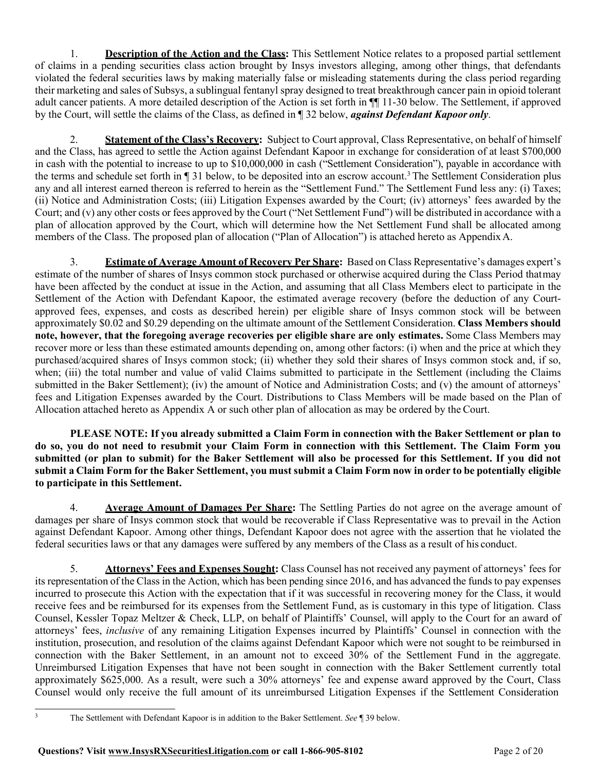1. **Description of the Action and the Class:** This Settlement Notice relates to a proposed partial settlement of claims in a pending securities class action brought by Insys investors alleging, among other things, that defendants violated the federal securities laws by making materially false or misleading statements during the class period regarding their marketing and sales of Subsys, a sublingual fentanyl spray designed to treat breakthrough cancer pain in opioid tolerant adult cancer patients. A more detailed description of the Action is set forth in ¶¶ 11-30 below. The Settlement, if approved by the Court, will settle the claims of the Class, as defined in ¶ 32 below, *against Defendant Kapoor only*.

2. **Statement of the Class's Recovery:** Subject to Court approval, Class Representative, on behalf of himself and the Class, has agreed to settle the Action against Defendant Kapoor in exchange for consideration of at least \$700,000 in cash with the potential to increase to up to \$10,000,000 in cash ("Settlement Consideration"), payable in accordance with the terms and schedule set forth in ¶ 31 below, to be deposited into an escrow account.<sup>3</sup> The Settlement Consideration plus any and all interest earned thereon is referred to herein as the "Settlement Fund." The Settlement Fund less any: (i) Taxes; (ii) Notice and Administration Costs; (iii) Litigation Expenses awarded by the Court; (iv) attorneys' fees awarded by the Court; and (v) any other costs or fees approved by the Court ("Net Settlement Fund") will be distributed in accordance with a plan of allocation approved by the Court, which will determine how the Net Settlement Fund shall be allocated among members of the Class. The proposed plan of allocation ("Plan of Allocation") is attached hereto as AppendixA.

3. **Estimate of Average Amount of Recovery Per Share:** Based on Class Representative's damages expert's estimate of the number of shares of Insys common stock purchased or otherwise acquired during the Class Period thatmay have been affected by the conduct at issue in the Action, and assuming that all Class Members elect to participate in the Settlement of the Action with Defendant Kapoor, the estimated average recovery (before the deduction of any Courtapproved fees, expenses, and costs as described herein) per eligible share of Insys common stock will be between approximately \$0.02 and \$0.29 depending on the ultimate amount of the Settlement Consideration. **Class Members should note, however, that the foregoing average recoveries per eligible share are only estimates.** Some Class Members may recover more or less than these estimated amounts depending on, among other factors: (i) when and the price at which they purchased/acquired shares of Insys common stock; (ii) whether they sold their shares of Insys common stock and, if so, when; (iii) the total number and value of valid Claims submitted to participate in the Settlement (including the Claims submitted in the Baker Settlement); (iv) the amount of Notice and Administration Costs; and (v) the amount of attorneys' fees and Litigation Expenses awarded by the Court. Distributions to Class Members will be made based on the Plan of Allocation attached hereto as Appendix A or such other plan of allocation as may be ordered by the Court.

PLEASE NOTE: If you already submitted a Claim Form in connection with the Baker Settlement or plan to **do so, you do not need to resubmit your Claim Form in connection with this Settlement. The Claim Form you submitted (or plan to submit) for the Baker Settlement will also be processed for this Settlement. If you did not** submit a Claim Form for the Baker Settlement, you must submit a Claim Form now in order to be potentially eligible **to participate in this Settlement.**

4. **Average Amount of Damages Per Share:** The Settling Parties do not agree on the average amount of damages per share of Insys common stock that would be recoverable if Class Representative was to prevail in the Action against Defendant Kapoor. Among other things, Defendant Kapoor does not agree with the assertion that he violated the federal securities laws or that any damages were suffered by any members of the Class as a result of his conduct.

5. **Attorneys' Fees and Expenses Sought:** Class Counsel has not received any payment of attorneys' fees for its representation of the Class in the Action, which has been pending since 2016, and has advanced the funds to pay expenses incurred to prosecute this Action with the expectation that if it was successful in recovering money for the Class, it would receive fees and be reimbursed for its expenses from the Settlement Fund, as is customary in this type of litigation. Class Counsel, Kessler Topaz Meltzer & Check, LLP, on behalf of Plaintiffs' Counsel, will apply to the Court for an award of attorneys' fees, *inclusive* of any remaining Litigation Expenses incurred by Plaintiffs' Counsel in connection with the institution, prosecution, and resolution of the claims against Defendant Kapoor which were not sought to be reimbursed in connection with the Baker Settlement, in an amount not to exceed 30% of the Settlement Fund in the aggregate. Unreimbursed Litigation Expenses that have not been sought in connection with the Baker Settlement currently total approximately \$625,000. As a result, were such a 30% attorneys' fee and expense award approved by the Court, Class Counsel would only receive the full amount of its unreimbursed Litigation Expenses if the Settlement Consideration

<sup>3</sup> The Settlement with Defendant Kapoor is in addition to the Baker Settlement. *See* ¶ 39 below.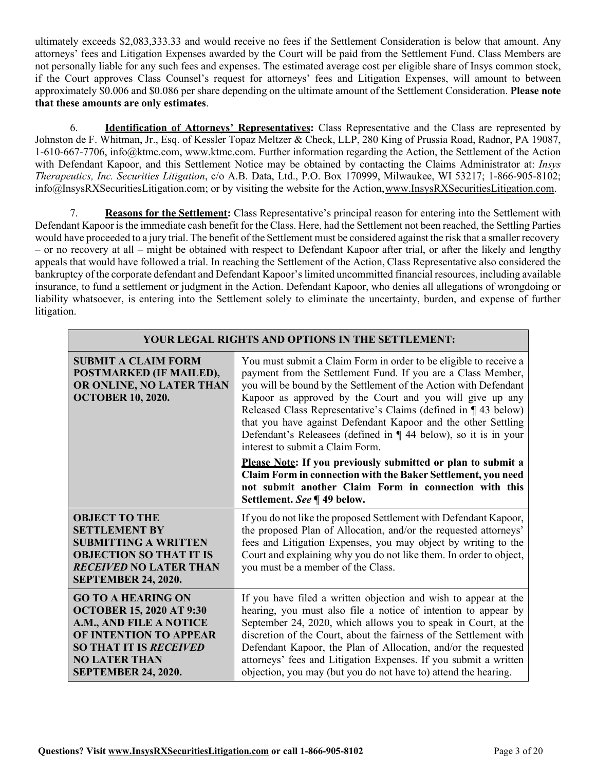ultimately exceeds \$2,083,333.33 and would receive no fees if the Settlement Consideration is below that amount. Any attorneys' fees and Litigation Expenses awarded by the Court will be paid from the Settlement Fund. Class Members are not personally liable for any such fees and expenses. The estimated average cost per eligible share of Insys common stock, if the Court approves Class Counsel's request for attorneys' fees and Litigation Expenses, will amount to between approximately \$0.006 and \$0.086 per share depending on the ultimate amount of the Settlement Consideration. **Please note that these amounts are only estimates**.

6. **Identification of Attorneys' Representatives:** Class Representative and the Class are represented by Johnston de F. Whitman, Jr., Esq. of Kessler Topaz Meltzer & Check, LLP, 280 King of Prussia Road, Radnor, PA 19087, 1-610-667-7706, [info@ktmc.com,](mailto:info@ktmc.com) [www.ktmc.com.](http://www.ktmc.com/) Further information regarding the Action, the Settlement of the Action with Defendant Kapoor, and this Settlement Notice may be obtained by contacting the Claims Administrator at: *Insys Therapeutics, Inc. Securities Litigation*, c/o A.B. Data, Ltd., P.O. Box 170999, Milwaukee, WI 53217; 1-866-905-8102[;](mailto:info@InsysRXSecuritiesLitigation.com) [info@InsysRXSecuritiesLitigation.com;](mailto:info@InsysRXSecuritiesLitigation.com) or by visiting the website for the Action[,www.InsysRXSecuritiesLitigation.com.](http://www.insysrxsecuritieslitigation.com/)

7. **Reasons for the Settlement:** Class Representative's principal reason for entering into the Settlement with Defendant Kapoor is the immediate cash benefit for the Class. Here, had the Settlement not been reached, the Settling Parties would have proceeded to a jury trial. The benefit of the Settlement must be considered against the risk that a smaller recovery – or no recovery at all – might be obtained with respect to Defendant Kapoor after trial, or after the likely and lengthy appeals that would have followed a trial. In reaching the Settlement of the Action, Class Representative also considered the bankruptcy of the corporate defendant and Defendant Kapoor'slimited uncommitted financial resources, including available insurance, to fund a settlement or judgment in the Action. Defendant Kapoor, who denies all allegations of wrongdoing or liability whatsoever, is entering into the Settlement solely to eliminate the uncertainty, burden, and expense of further litigation.

| YOUR LEGAL RIGHTS AND OPTIONS IN THE SETTLEMENT:                                                                                                                                                                |                                                                                                                                                                                                                                                                                                                                                                                                                                                                                                                                                                                                                                                                                                                                    |  |
|-----------------------------------------------------------------------------------------------------------------------------------------------------------------------------------------------------------------|------------------------------------------------------------------------------------------------------------------------------------------------------------------------------------------------------------------------------------------------------------------------------------------------------------------------------------------------------------------------------------------------------------------------------------------------------------------------------------------------------------------------------------------------------------------------------------------------------------------------------------------------------------------------------------------------------------------------------------|--|
| <b>SUBMIT A CLAIM FORM</b><br>POSTMARKED (IF MAILED),<br>OR ONLINE, NO LATER THAN<br><b>OCTOBER 10, 2020.</b>                                                                                                   | You must submit a Claim Form in order to be eligible to receive a<br>payment from the Settlement Fund. If you are a Class Member,<br>you will be bound by the Settlement of the Action with Defendant<br>Kapoor as approved by the Court and you will give up any<br>Released Class Representative's Claims (defined in ¶43 below)<br>that you have against Defendant Kapoor and the other Settling<br>Defendant's Releasees (defined in ¶ 44 below), so it is in your<br>interest to submit a Claim Form.<br>Please Note: If you previously submitted or plan to submit a<br>Claim Form in connection with the Baker Settlement, you need<br>not submit another Claim Form in connection with this<br>Settlement. See ¶ 49 below. |  |
| <b>OBJECT TO THE</b><br><b>SETTLEMENT BY</b><br><b>SUBMITTING A WRITTEN</b><br><b>OBJECTION SO THAT IT IS</b><br><b>RECEIVED NO LATER THAN</b><br><b>SEPTEMBER 24, 2020.</b>                                    | If you do not like the proposed Settlement with Defendant Kapoor,<br>the proposed Plan of Allocation, and/or the requested attorneys'<br>fees and Litigation Expenses, you may object by writing to the<br>Court and explaining why you do not like them. In order to object,<br>you must be a member of the Class.                                                                                                                                                                                                                                                                                                                                                                                                                |  |
| <b>GO TO A HEARING ON</b><br><b>OCTOBER 15, 2020 AT 9:30</b><br>A.M., AND FILE A NOTICE<br><b>OF INTENTION TO APPEAR</b><br><b>SO THAT IT IS RECEIVED</b><br><b>NO LATER THAN</b><br><b>SEPTEMBER 24, 2020.</b> | If you have filed a written objection and wish to appear at the<br>hearing, you must also file a notice of intention to appear by<br>September 24, 2020, which allows you to speak in Court, at the<br>discretion of the Court, about the fairness of the Settlement with<br>Defendant Kapoor, the Plan of Allocation, and/or the requested<br>attorneys' fees and Litigation Expenses. If you submit a written<br>objection, you may (but you do not have to) attend the hearing.                                                                                                                                                                                                                                                 |  |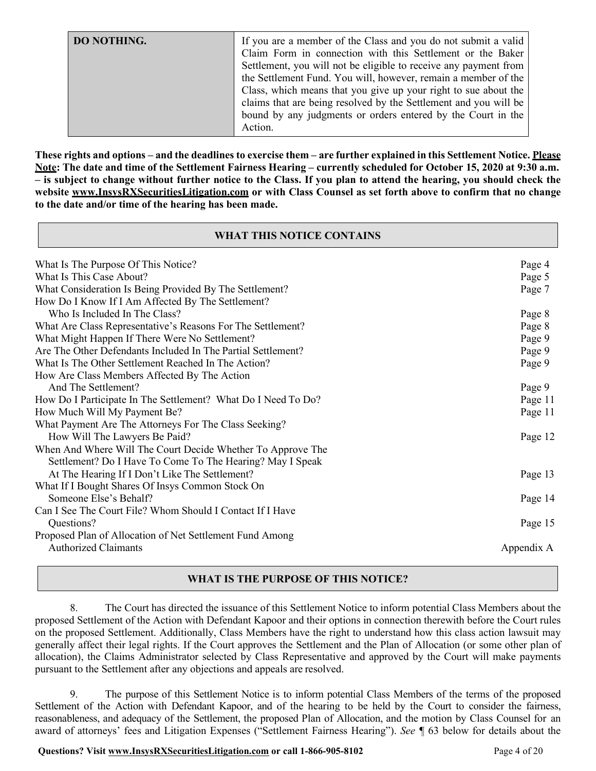These rights and options – and the deadlines to exercise them – are further explained in this Settlement Notice. Please Note: The date and time of the Settlement Fairness Hearing – currently scheduled for October 15, 2020 at 9:30 a.m. **– is subject to change without further notice to the Class. If you plan to attend the hearing, you should check the website [www.InsysRXSecuritiesLitigation.com](http://www.insysrxsecuritieslitigation.com/) or with Class Counsel as set forth above to confirm that no change to the date and/or time of the hearing has been made.**

### **WHAT THIS NOTICE CONTAINS**

| What Is The Purpose Of This Notice?                           | Page 4     |
|---------------------------------------------------------------|------------|
| What Is This Case About?                                      | Page 5     |
| What Consideration Is Being Provided By The Settlement?       | Page 7     |
| How Do I Know If I Am Affected By The Settlement?             |            |
| Who Is Included In The Class?                                 | Page 8     |
| What Are Class Representative's Reasons For The Settlement?   | Page 8     |
| What Might Happen If There Were No Settlement?                | Page 9     |
| Are The Other Defendants Included In The Partial Settlement?  | Page 9     |
| What Is The Other Settlement Reached In The Action?           | Page 9     |
| How Are Class Members Affected By The Action                  |            |
| And The Settlement?                                           | Page 9     |
| How Do I Participate In The Settlement? What Do I Need To Do? | Page 11    |
| How Much Will My Payment Be?                                  | Page 11    |
| What Payment Are The Attorneys For The Class Seeking?         |            |
| How Will The Lawyers Be Paid?                                 | Page 12    |
| When And Where Will The Court Decide Whether To Approve The   |            |
| Settlement? Do I Have To Come To The Hearing? May I Speak     |            |
| At The Hearing If I Don't Like The Settlement?                | Page 13    |
| What If I Bought Shares Of Insys Common Stock On              |            |
| Someone Else's Behalf?                                        | Page 14    |
| Can I See The Court File? Whom Should I Contact If I Have     |            |
| Questions?                                                    | Page 15    |
| Proposed Plan of Allocation of Net Settlement Fund Among      |            |
| <b>Authorized Claimants</b>                                   | Appendix A |
|                                                               |            |

# **WHAT IS THE PURPOSE OF THIS NOTICE?**

8. The Court has directed the issuance of this Settlement Notice to inform potential Class Members about the proposed Settlement of the Action with Defendant Kapoor and their options in connection therewith before the Court rules on the proposed Settlement. Additionally, Class Members have the right to understand how this class action lawsuit may generally affect their legal rights. If the Court approves the Settlement and the Plan of Allocation (or some other plan of allocation), the Claims Administrator selected by Class Representative and approved by the Court will make payments pursuant to the Settlement after any objections and appeals are resolved.

9. The purpose of this Settlement Notice is to inform potential Class Members of the terms of the proposed Settlement of the Action with Defendant Kapoor, and of the hearing to be held by the Court to consider the fairness, reasonableness, and adequacy of the Settlement, the proposed Plan of Allocation, and the motion by Class Counsel for an award of attorneys' fees and Litigation Expenses ("Settlement Fairness Hearing"). *See ¶* 63 below for details about the

**Questions? Visit www.InsysRXSecuritiesLitigation.com or call 1-866-905-8102** Page 4 of 20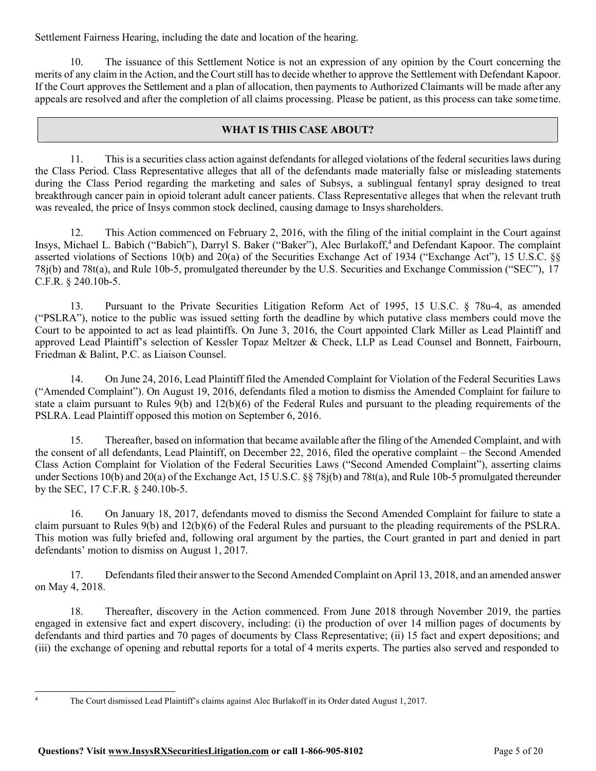Settlement Fairness Hearing, including the date and location of the hearing.

10. The issuance of this Settlement Notice is not an expression of any opinion by the Court concerning the merits of any claim in the Action, and the Court still hasto decide whether to approve the Settlement with Defendant Kapoor. If the Court approves the Settlement and a plan of allocation, then payments to Authorized Claimants will be made after any appeals are resolved and after the completion of all claims processing. Please be patient, as this process can take sometime.

### **WHAT IS THIS CASE ABOUT?**

11. This is a securities class action against defendantsfor alleged violations of the federal securitieslaws during the Class Period. Class Representative alleges that all of the defendants made materially false or misleading statements during the Class Period regarding the marketing and sales of Subsys, a sublingual fentanyl spray designed to treat breakthrough cancer pain in opioid tolerant adult cancer patients. Class Representative alleges that when the relevant truth was revealed, the price of Insys common stock declined, causing damage to Insysshareholders.

12. This Action commenced on February 2, 2016, with the filing of the initial complaint in the Court against Insys, Michael L. Babich ("Babich"), Darryl S. Baker ("Baker"), Alec Burlakoff,4 and Defendant Kapoor. The complaint asserted violations of Sections 10(b) and 20(a) of the Securities Exchange Act of 1934 ("Exchange Act"), 15 U.S.C. §§ 78j(b) and 78t(a), and Rule 10b-5, promulgated thereunder by the U.S. Securities and Exchange Commission ("SEC"), 17 C.F.R. § 240.10b-5.

13. Pursuant to the Private Securities Litigation Reform Act of 1995, 15 U.S.C. § 78u-4, as amended ("PSLRA"), notice to the public was issued setting forth the deadline by which putative class members could move the Court to be appointed to act as lead plaintiffs. On June 3, 2016, the Court appointed Clark Miller as Lead Plaintiff and approved Lead Plaintiff's selection of Kessler Topaz Meltzer & Check, LLP as Lead Counsel and Bonnett, Fairbourn, Friedman & Balint, P.C. as Liaison Counsel.

14. On June 24, 2016, Lead Plaintiff filed the Amended Complaint for Violation of the Federal Securities Laws ("Amended Complaint"). On August 19, 2016, defendants filed a motion to dismiss the Amended Complaint for failure to state a claim pursuant to Rules  $9(b)$  and  $12(b)(6)$  of the Federal Rules and pursuant to the pleading requirements of the PSLRA. Lead Plaintiff opposed this motion on September 6, 2016.

15. Thereafter, based on information that became available after the filing of the Amended Complaint, and with the consent of all defendants, Lead Plaintiff, on December 22, 2016, filed the operative complaint – the Second Amended Class Action Complaint for Violation of the Federal Securities Laws ("Second Amended Complaint"), asserting claims under Sections 10(b) and 20(a) of the Exchange Act, 15 U.S.C. §§ 78j(b) and 78t(a), and Rule 10b-5 promulgated thereunder by the SEC, 17 C.F.R. § 240.10b-5.

16. On January 18, 2017, defendants moved to dismiss the Second Amended Complaint for failure to state a claim pursuant to Rules 9(b) and 12(b)(6) of the Federal Rules and pursuant to the pleading requirements of the PSLRA. This motion was fully briefed and, following oral argument by the parties, the Court granted in part and denied in part defendants' motion to dismiss on August 1, 2017.

17. Defendants filed their answer to the Second Amended Complaint on April 13, 2018, and an amended answer on May 4, 2018.

18. Thereafter, discovery in the Action commenced. From June 2018 through November 2019, the parties engaged in extensive fact and expert discovery, including: (i) the production of over 14 million pages of documents by defendants and third parties and 70 pages of documents by Class Representative; (ii) 15 fact and expert depositions; and (iii) the exchange of opening and rebuttal reports for a total of 4 merits experts. The parties also served and responded to

<sup>4</sup> The Court dismissed Lead Plaintiff's claims against Alec Burlakoff in its Order dated August 1, 2017.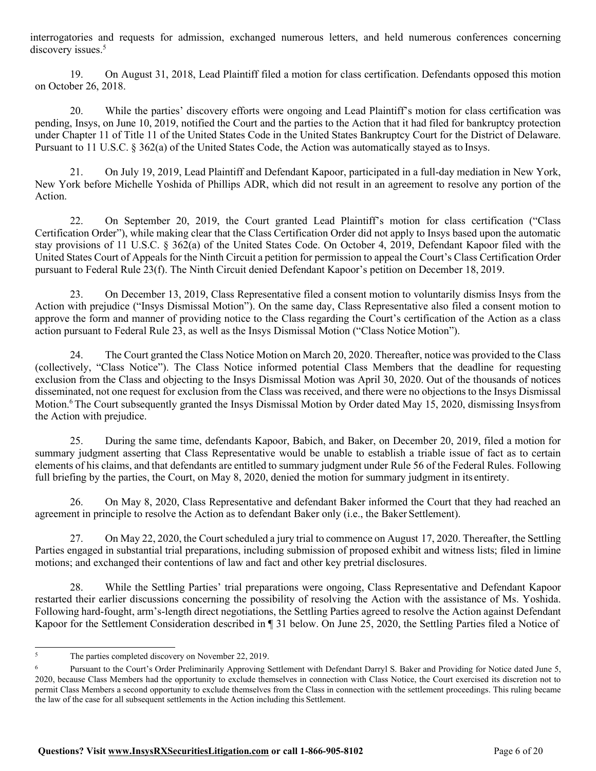interrogatories and requests for admission, exchanged numerous letters, and held numerous conferences concerning discovery issues.<sup>5</sup>

19. On August 31, 2018, Lead Plaintiff filed a motion for class certification. Defendants opposed this motion on October 26, 2018.

20. While the parties' discovery efforts were ongoing and Lead Plaintiff's motion for class certification was pending, Insys, on June 10, 2019, notified the Court and the parties to the Action that it had filed for bankruptcy protection under Chapter 11 of Title 11 of the United States Code in the United States Bankruptcy Court for the District of Delaware. Pursuant to 11 U.S.C. § 362(a) of the United States Code, the Action was automatically stayed as to Insys.

21. On July 19, 2019, Lead Plaintiff and Defendant Kapoor, participated in a full-day mediation in New York, New York before Michelle Yoshida of Phillips ADR, which did not result in an agreement to resolve any portion of the Action.

22. On September 20, 2019, the Court granted Lead Plaintiff's motion for class certification ("Class Certification Order"), while making clear that the Class Certification Order did not apply to Insys based upon the automatic stay provisions of 11 U.S.C. § 362(a) of the United States Code. On October 4, 2019, Defendant Kapoor filed with the United States Court of Appeals for the Ninth Circuit a petition for permission to appeal the Court's Class Certification Order pursuant to Federal Rule 23(f). The Ninth Circuit denied Defendant Kapoor's petition on December 18, 2019.

23. On December 13, 2019, Class Representative filed a consent motion to voluntarily dismiss Insys from the Action with prejudice ("Insys Dismissal Motion"). On the same day, Class Representative also filed a consent motion to approve the form and manner of providing notice to the Class regarding the Court's certification of the Action as a class action pursuant to Federal Rule 23, as well as the Insys Dismissal Motion ("Class Notice Motion").

24. The Court granted the Class Notice Motion on March 20, 2020. Thereafter, notice was provided to the Class (collectively, "Class Notice"). The Class Notice informed potential Class Members that the deadline for requesting exclusion from the Class and objecting to the Insys Dismissal Motion was April 30, 2020. Out of the thousands of notices disseminated, not one request for exclusion from the Class was received, and there were no objections to the Insys Dismissal Motion.<sup>6</sup> The Court subsequently granted the Insys Dismissal Motion by Order dated May 15, 2020, dismissing Insysfrom the Action with prejudice.

25. During the same time, defendants Kapoor, Babich, and Baker, on December 20, 2019, filed a motion for summary judgment asserting that Class Representative would be unable to establish a triable issue of fact as to certain elements of his claims, and that defendants are entitled to summary judgment under Rule 56 of the Federal Rules. Following full briefing by the parties, the Court, on May 8, 2020, denied the motion for summary judgment in its entirety.

26. On May 8, 2020, Class Representative and defendant Baker informed the Court that they had reached an agreement in principle to resolve the Action as to defendant Baker only (i.e., the Baker Settlement).

27. On May 22, 2020, the Court scheduled a jury trial to commence on August 17, 2020. Thereafter, the Settling Parties engaged in substantial trial preparations, including submission of proposed exhibit and witness lists; filed in limine motions; and exchanged their contentions of law and fact and other key pretrial disclosures.

28. While the Settling Parties' trial preparations were ongoing, Class Representative and Defendant Kapoor restarted their earlier discussions concerning the possibility of resolving the Action with the assistance of Ms. Yoshida. Following hard-fought, arm's-length direct negotiations, the Settling Parties agreed to resolve the Action against Defendant Kapoor for the Settlement Consideration described in ¶ 31 below. On June 25, 2020, the Settling Parties filed a Notice of

<sup>&</sup>lt;sup>5</sup> The parties completed discovery on November 22, 2019.

Pursuant to the Court's Order Preliminarily Approving Settlement with Defendant Darryl S. Baker and Providing for Notice dated June 5, 2020, because Class Members had the opportunity to exclude themselves in connection with Class Notice, the Court exercised its discretion not to permit Class Members a second opportunity to exclude themselves from the Class in connection with the settlement proceedings. This ruling became the law of the case for all subsequent settlements in the Action including this Settlement.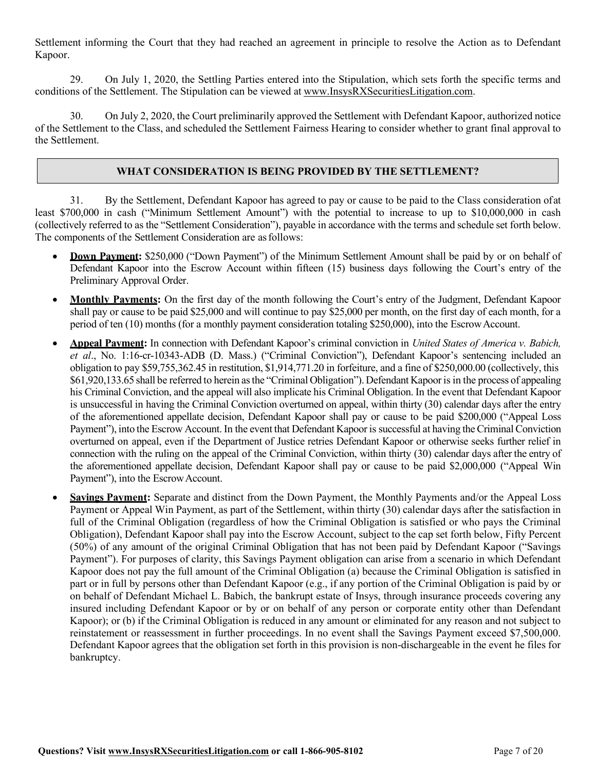Settlement informing the Court that they had reached an agreement in principle to resolve the Action as to Defendant Kapoor.

29. On July 1, 2020, the Settling Parties entered into the Stipulation, which sets forth the specific terms and conditions of the Settlement. The Stipulation can be viewed at [www.InsysRXSecuritiesLitigation.com.](http://www.insysrxsecuritieslitigation.com/)

30. On July 2, 2020, the Court preliminarily approved the Settlement with Defendant Kapoor, authorized notice of the Settlement to the Class, and scheduled the Settlement Fairness Hearing to consider whether to grant final approval to the Settlement.

### **WHAT CONSIDERATION IS BEING PROVIDED BY THE SETTLEMENT?**

31. By the Settlement, Defendant Kapoor has agreed to pay or cause to be paid to the Class consideration ofat least \$700,000 in cash ("Minimum Settlement Amount") with the potential to increase to up to \$10,000,000 in cash (collectively referred to as the "Settlement Consideration"), payable in accordance with the terms and schedule set forth below. The components of the Settlement Consideration are asfollows:

- **Down Payment:** \$250,000 ("Down Payment") of the Minimum Settlement Amount shall be paid by or on behalf of Defendant Kapoor into the Escrow Account within fifteen (15) business days following the Court's entry of the Preliminary Approval Order.
- **Monthly Payments:** On the first day of the month following the Court's entry of the Judgment, Defendant Kapoor shall pay or cause to be paid \$25,000 and will continue to pay \$25,000 per month, on the first day of each month, for a period of ten (10) months (for a monthly payment consideration totaling \$250,000), into the EscrowAccount.
- **Appeal Payment:** In connection with Defendant Kapoor's criminal conviction in *United States of America v. Babich, et al*., No. 1:16-cr-10343-ADB (D. Mass.) ("Criminal Conviction"), Defendant Kapoor's sentencing included an obligation to pay \$59,755,362.45 in restitution, \$1,914,771.20 in forfeiture, and a fine of \$250,000.00 (collectively, this \$61,920,133.65 shall be referred to herein as the "Criminal Obligation"). Defendant Kapoor is in the process of appealing his Criminal Conviction, and the appeal will also implicate his Criminal Obligation. In the event that Defendant Kapoor is unsuccessful in having the Criminal Conviction overturned on appeal, within thirty (30) calendar days after the entry of the aforementioned appellate decision, Defendant Kapoor shall pay or cause to be paid \$200,000 ("Appeal Loss Payment"), into the Escrow Account. In the event that Defendant Kapoor is successful at having the Criminal Conviction overturned on appeal, even if the Department of Justice retries Defendant Kapoor or otherwise seeks further relief in connection with the ruling on the appeal of the Criminal Conviction, within thirty (30) calendar days after the entry of the aforementioned appellate decision, Defendant Kapoor shall pay or cause to be paid \$2,000,000 ("Appeal Win Payment"), into the Escrow Account.
- **Savings Payment:** Separate and distinct from the Down Payment, the Monthly Payments and/or the Appeal Loss Payment or Appeal Win Payment, as part of the Settlement, within thirty (30) calendar days after the satisfaction in full of the Criminal Obligation (regardless of how the Criminal Obligation is satisfied or who pays the Criminal Obligation), Defendant Kapoor shall pay into the Escrow Account, subject to the cap set forth below, Fifty Percent (50%) of any amount of the original Criminal Obligation that has not been paid by Defendant Kapoor ("Savings Payment"). For purposes of clarity, this Savings Payment obligation can arise from a scenario in which Defendant Kapoor does not pay the full amount of the Criminal Obligation (a) because the Criminal Obligation is satisfied in part or in full by persons other than Defendant Kapoor (e.g., if any portion of the Criminal Obligation is paid by or on behalf of Defendant Michael L. Babich, the bankrupt estate of Insys, through insurance proceeds covering any insured including Defendant Kapoor or by or on behalf of any person or corporate entity other than Defendant Kapoor); or (b) if the Criminal Obligation is reduced in any amount or eliminated for any reason and not subject to reinstatement or reassessment in further proceedings. In no event shall the Savings Payment exceed \$7,500,000. Defendant Kapoor agrees that the obligation set forth in this provision is non-dischargeable in the event he files for bankruptcy.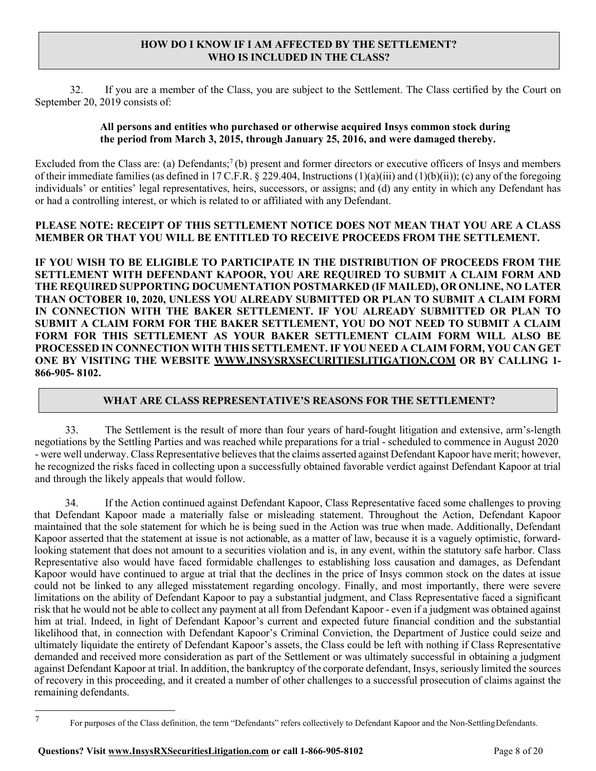### **HOW DO I KNOW IF I AM AFFECTED BY THE SETTLEMENT? WHO IS INCLUDED IN THE CLASS?**

32. If you are a member of the Class, you are subject to the Settlement. The Class certified by the Court on September 20, 2019 consists of:

### **All persons and entities who purchased or otherwise acquired Insys common stock during the period from March 3, 2015, through January 25, 2016, and were damaged thereby.**

Excluded from the Class are: (a) Defendants;<sup>7</sup> (b) present and former directors or executive officers of Insys and members of their immediate families(as defined in 17 C.F.R. § 229.404, Instructions (1)(a)(iii) and (1)(b)(ii)); (c) any of the foregoing individuals' or entities' legal representatives, heirs, successors, or assigns; and (d) any entity in which any Defendant has or had a controlling interest, or which is related to or affiliated with any Defendant.

# **PLEASE NOTE: RECEIPT OF THIS SETTLEMENT NOTICE DOES NOT MEAN THAT YOU ARE A CLASS MEMBER OR THAT YOU WILL BE ENTITLED TO RECEIVE PROCEEDS FROM THE SETTLEMENT.**

**IF YOU WISH TO BE ELIGIBLE TO PARTICIPATE IN THE DISTRIBUTION OF PROCEEDS FROM THE SETTLEMENT WITH DEFENDANT KAPOOR, YOU ARE REQUIRED TO SUBMIT A CLAIM FORM AND THE REQUIRED SUPPORTING DOCUMENTATION POSTMARKED (IF MAILED), OR ONLINE, NO LATER THAN OCTOBER 10, 2020, UNLESS YOU ALREADY SUBMITTED OR PLAN TO SUBMIT A CLAIM FORM IN CONNECTION WITH THE BAKER SETTLEMENT. IF YOU ALREADY SUBMITTED OR PLAN TO SUBMIT A CLAIM FORM FOR THE BAKER SETTLEMENT, YOU DO NOT NEED TO SUBMIT A CLAIM FORM FOR THIS SETTLEMENT AS YOUR BAKER SETTLEMENT CLAIM FORM WILL ALSO BE PROCESSED IN CONNECTION WITH THIS SETTLEMENT. IF YOU NEED A CLAIM FORM, YOU CAN GET ONE BY VISITING THE WEBSITE [WWW.INSYSRXSECURITIESLITIGATION.COM](http://www.insysrxsecuritieslitigation.com/) OR BY CALLING 1- 866-905- 8102.**

# **WHAT ARE CLASS REPRESENTATIVE'S REASONS FOR THE SETTLEMENT?**

33. The Settlement is the result of more than four years of hard-fought litigation and extensive, arm's-length negotiations by the Settling Parties and was reached while preparations for a trial - scheduled to commence in August 2020 - were well underway. Class Representative believes that the claims asserted against Defendant Kapoor have merit; however, he recognized the risks faced in collecting upon a successfully obtained favorable verdict against Defendant Kapoor at trial and through the likely appeals that would follow.

34. If the Action continued against Defendant Kapoor, Class Representative faced some challenges to proving that Defendant Kapoor made a materially false or misleading statement. Throughout the Action, Defendant Kapoor maintained that the sole statement for which he is being sued in the Action was true when made. Additionally, Defendant Kapoor asserted that the statement at issue is not actionable, as a matter of law, because it is a vaguely optimistic, forwardlooking statement that does not amount to a securities violation and is, in any event, within the statutory safe harbor. Class Representative also would have faced formidable challenges to establishing loss causation and damages, as Defendant Kapoor would have continued to argue at trial that the declines in the price of Insys common stock on the dates at issue could not be linked to any alleged misstatement regarding oncology. Finally, and most importantly, there were severe limitations on the ability of Defendant Kapoor to pay a substantial judgment, and Class Representative faced a significant risk that he would not be able to collect any payment at all from Defendant Kapoor - even if a judgment was obtained against him at trial. Indeed, in light of Defendant Kapoor's current and expected future financial condition and the substantial likelihood that, in connection with Defendant Kapoor's Criminal Conviction, the Department of Justice could seize and ultimately liquidate the entirety of Defendant Kapoor's assets, the Class could be left with nothing if Class Representative demanded and received more consideration as part of the Settlement or was ultimately successful in obtaining a judgment against Defendant Kapoor at trial. In addition, the bankruptcy of the corporate defendant, Insys, seriously limited the sources of recovery in this proceeding, and it created a number of other challenges to a successful prosecution of claims against the remaining defendants.

<sup>7</sup> For purposes of the Class definition, the term "Defendants" refers collectively to Defendant Kapoor and the Non-SettlingDefendants.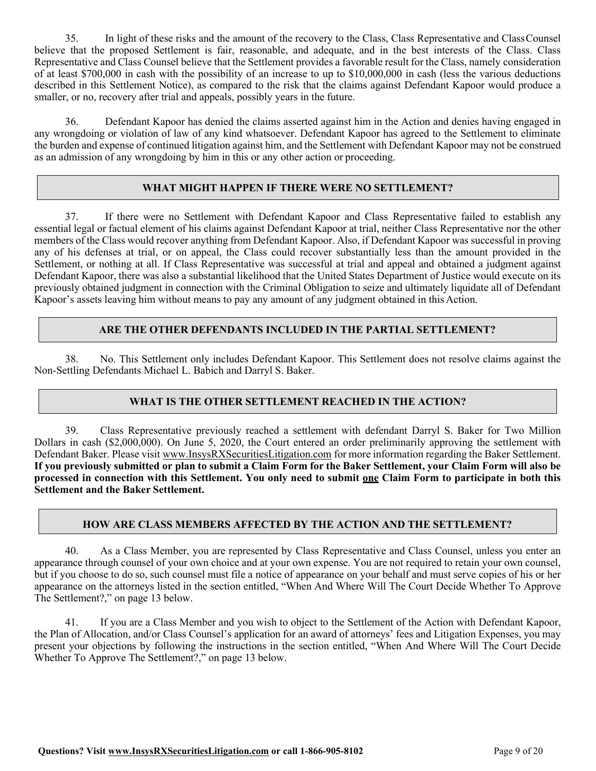35. In light of these risks and the amount of the recovery to the Class, Class Representative and ClassCounsel believe that the proposed Settlement is fair, reasonable, and adequate, and in the best interests of the Class. Class Representative and Class Counsel believe that the Settlement provides a favorable result for the Class, namely consideration of at least \$700,000 in cash with the possibility of an increase to up to \$10,000,000 in cash (less the various deductions described in this Settlement Notice), as compared to the risk that the claims against Defendant Kapoor would produce a smaller, or no, recovery after trial and appeals, possibly years in the future.

36. Defendant Kapoor has denied the claims asserted against him in the Action and denies having engaged in any wrongdoing or violation of law of any kind whatsoever. Defendant Kapoor has agreed to the Settlement to eliminate the burden and expense of continued litigation against him, and the Settlement with Defendant Kapoor may not be construed as an admission of any wrongdoing by him in this or any other action or proceeding.

# **WHAT MIGHT HAPPEN IF THERE WERE NO SETTLEMENT?**

37. If there were no Settlement with Defendant Kapoor and Class Representative failed to establish any essential legal or factual element of his claims against Defendant Kapoor at trial, neither Class Representative nor the other members of the Class would recover anything from Defendant Kapoor. Also, if Defendant Kapoor was successful in proving any of his defenses at trial, or on appeal, the Class could recover substantially less than the amount provided in the Settlement, or nothing at all. If Class Representative was successful at trial and appeal and obtained a judgment against Defendant Kapoor, there was also a substantial likelihood that the United States Department of Justice would execute on its previously obtained judgment in connection with the Criminal Obligation to seize and ultimately liquidate all of Defendant Kapoor's assets leaving him without means to pay any amount of any judgment obtained in this Action.

### **ARE THE OTHER DEFENDANTS INCLUDED IN THE PARTIAL SETTLEMENT?**

38. No. This Settlement only includes Defendant Kapoor. This Settlement does not resolve claims against the Non-Settling Defendants Michael L. Babich and Darryl S. Baker.

# **WHAT IS THE OTHER SETTLEMENT REACHED IN THE ACTION?**

39. Class Representative previously reached a settlement with defendant Darryl S. Baker for Two Million Dollars in cash (\$2,000,000). On June 5, 2020, the Court entered an order preliminarily approving the settlement with Defendant Baker. Please visit [www.InsysRXSecuritiesLitigation.com](http://www.insysrxsecuritieslitigation.com/) for more information regarding the Baker Settlement. If you previously submitted or plan to submit a Claim Form for the Baker Settlement, your Claim Form will also be **processed in connection with this Settlement. You only need to submit one Claim Form to participate in both this Settlement and the Baker Settlement.**

#### **HOW ARE CLASS MEMBERS AFFECTED BY THE ACTION AND THE SETTLEMENT?**

40. As a Class Member, you are represented by Class Representative and Class Counsel, unless you enter an appearance through counsel of your own choice and at your own expense. You are not required to retain your own counsel, but if you choose to do so, such counsel must file a notice of appearance on your behalf and must serve copies of his or her appearance on the attorneys listed in the section entitled, "When And Where Will The Court Decide Whether To Approve The Settlement?," on page 13 below.

41. If you are a Class Member and you wish to object to the Settlement of the Action with Defendant Kapoor, the Plan of Allocation, and/or Class Counsel's application for an award of attorneys' fees and Litigation Expenses, you may present your objections by following the instructions in the section entitled, "When And Where Will The Court Decide Whether To Approve The Settlement?," on page 13 below.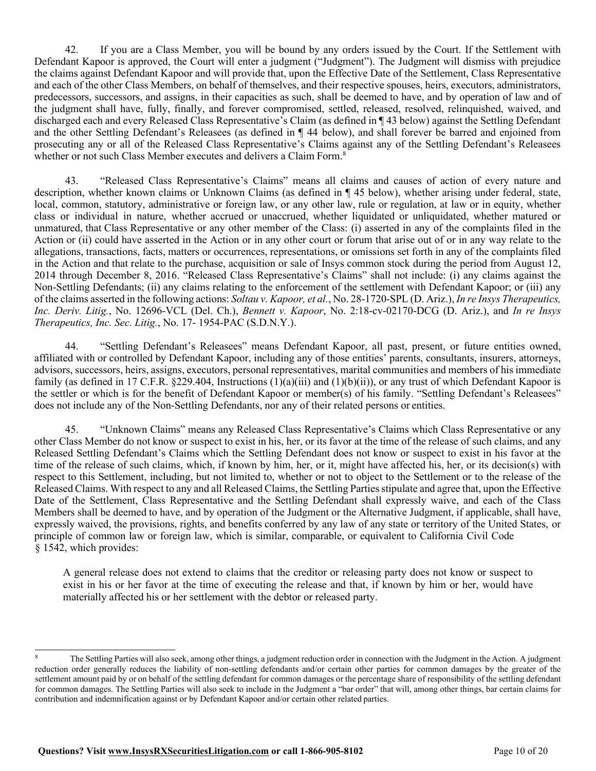42. If you are a Class Member, you will be bound by any orders issued by the Court. If the Settlement with Defendant Kapoor is approved, the Court will enter a judgment ("Judgment"). The Judgment will dismiss with prejudice the claims against Defendant Kapoor and will provide that, upon the Effective Date of the Settlement, Class Representative and each of the other Class Members, on behalf of themselves, and their respective spouses, heirs, executors, administrators, predecessors, successors, and assigns, in their capacities as such, shall be deemed to have, and by operation of law and of the judgment shall have, fully, finally, and forever compromised, settled, released, resolved, relinquished, waived, and discharged each and every Released Class Representative's Claim (as defined in ¶ 43 below) against the Settling Defendant and the other Settling Defendant's Releasees (as defined in ¶ 44 below), and shall forever be barred and enjoined from prosecuting any or all of the Released Class Representative's Claims against any of the Settling Defendant's Releasees whether or not such Class Member executes and delivers a Claim Form.<sup>8</sup>

43. "Released Class Representative's Claims" means all claims and causes of action of every nature and description, whether known claims or Unknown Claims (as defined in ¶ 45 below), whether arising under federal, state, local, common, statutory, administrative or foreign law, or any other law, rule or regulation, at law or in equity, whether class or individual in nature, whether accrued or unaccrued, whether liquidated or unliquidated, whether matured or unmatured, that Class Representative or any other member of the Class: (i) asserted in any of the complaints filed in the Action or (ii) could have asserted in the Action or in any other court or forum that arise out of or in any way relate to the allegations, transactions, facts, matters or occurrences, representations, or omissions set forth in any of the complaints filed in the Action and that relate to the purchase, acquisition or sale of Insys common stock during the period from August 12, 2014 through December 8, 2016. "Released Class Representative's Claims" shall not include: (i) any claims against the Non-Settling Defendants; (ii) any claims relating to the enforcement of the settlement with Defendant Kapoor; or (iii) any of the claims asserted in the following actions: *Soltau v. Kapoor, et al.*, No. 28-1720-SPL (D. Ariz.), *In re Insys Therapeutics, Inc. Deriv. Litig.*, No. 12696-VCL (Del. Ch.), *Bennett v. Kapoor*, No. 2:18-cv-02170-DCG (D. Ariz.), and *In re Insys Therapeutics, Inc. Sec. Litig.*, No. 17- 1954-PAC (S.D.N.Y.).

44. "Settling Defendant's Releasees" means Defendant Kapoor, all past, present, or future entities owned, affiliated with or controlled by Defendant Kapoor, including any of those entities' parents, consultants, insurers, attorneys, advisors, successors, heirs, assigns, executors, personal representatives, marital communities and members of his immediate family (as defined in 17 C.F.R. §229.404, Instructions (1)(a)(iii) and (1)(b)(ii)), or any trust of which Defendant Kapoor is the settler or which is for the benefit of Defendant Kapoor or member(s) of his family. "Settling Defendant's Releasees" does not include any of the Non-Settling Defendants, nor any of their related persons or entities.

45. "Unknown Claims" means any Released Class Representative's Claims which Class Representative or any other Class Member do not know or suspect to exist in his, her, or its favor at the time of the release of such claims, and any Released Settling Defendant's Claims which the Settling Defendant does not know or suspect to exist in his favor at the time of the release of such claims, which, if known by him, her, or it, might have affected his, her, or its decision(s) with respect to this Settlement, including, but not limited to, whether or not to object to the Settlement or to the release of the Released Claims. With respect to any and all Released Claims, the Settling Parties stipulate and agree that, upon the Effective Date of the Settlement, Class Representative and the Settling Defendant shall expressly waive, and each of the Class Members shall be deemed to have, and by operation of the Judgment or the Alternative Judgment, if applicable, shall have, expressly waived, the provisions, rights, and benefits conferred by any law of any state or territory of the United States, or principle of common law or foreign law, which is similar, comparable, or equivalent to California Civil Code § 1542, which provides:

A general release does not extend to claims that the creditor or releasing party does not know or suspect to exist in his or her favor at the time of executing the release and that, if known by him or her, would have materially affected his or her settlement with the debtor or released party.

The Settling Parties will also seek, among other things, a judgment reduction order in connection with the Judgment in the Action. A judgment reduction order generally reduces the liability of non-settling defendants and/or certain other parties for common damages by the greater of the settlement amount paid by or on behalf of the settling defendant for common damages or the percentage share of responsibility of the settling defendant for common damages. The Settling Parties will also seek to include in the Judgment a "bar order" that will, among other things, bar certain claims for contribution and indemnification against or by Defendant Kapoor and/or certain other related parties.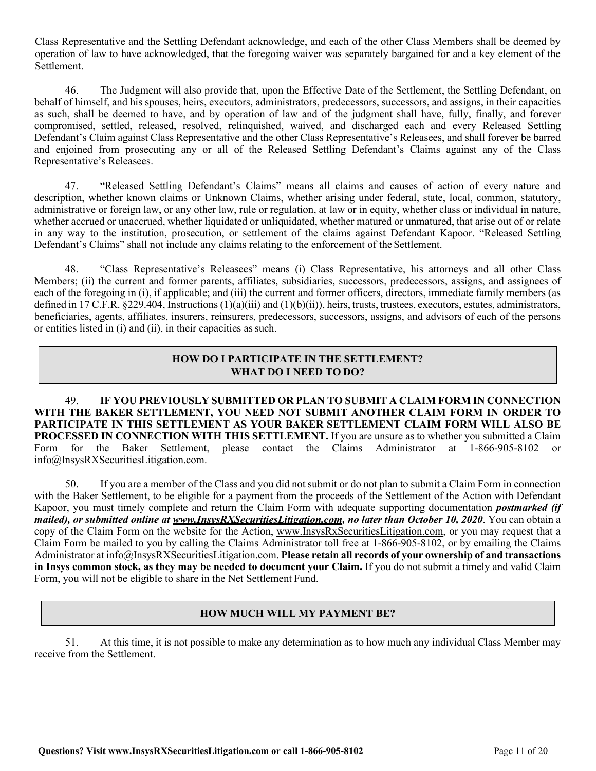Class Representative and the Settling Defendant acknowledge, and each of the other Class Members shall be deemed by operation of law to have acknowledged, that the foregoing waiver was separately bargained for and a key element of the Settlement.

46. The Judgment will also provide that, upon the Effective Date of the Settlement, the Settling Defendant, on behalf of himself, and his spouses, heirs, executors, administrators, predecessors, successors, and assigns, in their capacities as such, shall be deemed to have, and by operation of law and of the judgment shall have, fully, finally, and forever compromised, settled, released, resolved, relinquished, waived, and discharged each and every Released Settling Defendant's Claim against Class Representative and the other Class Representative's Releasees, and shall forever be barred and enjoined from prosecuting any or all of the Released Settling Defendant's Claims against any of the Class Representative's Releasees.

47. "Released Settling Defendant's Claims" means all claims and causes of action of every nature and description, whether known claims or Unknown Claims, whether arising under federal, state, local, common, statutory, administrative or foreign law, or any other law, rule or regulation, at law or in equity, whether class or individual in nature, whether accrued or unaccrued, whether liquidated or unliquidated, whether matured or unmatured, that arise out of or relate in any way to the institution, prosecution, or settlement of the claims against Defendant Kapoor. "Released Settling Defendant's Claims" shall not include any claims relating to the enforcement of the Settlement.

48. "Class Representative's Releasees" means (i) Class Representative, his attorneys and all other Class Members; (ii) the current and former parents, affiliates, subsidiaries, successors, predecessors, assigns, and assignees of each of the foregoing in (i), if applicable; and (iii) the current and former officers, directors, immediate family members (as defined in 17 C.F.R. §229.404, Instructions (1)(a)(iii) and (1)(b)(ii)), heirs, trusts, trustees, executors, estates, administrators, beneficiaries, agents, affiliates, insurers, reinsurers, predecessors, successors, assigns, and advisors of each of the persons or entities listed in (i) and (ii), in their capacities assuch.

# **HOW DO I PARTICIPATE IN THE SETTLEMENT? WHAT DO I NEED TO DO?**

49. **IF YOU PREVIOUSLY SUBMITTED OR PLAN TO SUBMIT A CLAIM FORM IN CONNECTION WITH THE BAKER SETTLEMENT, YOU NEED NOT SUBMIT ANOTHER CLAIM FORM IN ORDER TO PARTICIPATE IN THIS SETTLEMENT AS YOUR BAKER SETTLEMENT CLAIM FORM WILL ALSO BE PROCESSED IN CONNECTION WITH THIS SETTLEMENT.** If you are unsure as to whether you submitted a Claim Form for the Baker Settlement, please contact the Claims Administrator at 1-866-905-8102 o[r](mailto:info@InsysRXSecuritiesLitigation.com) [info@InsysRXSecuritiesLitigation.com.](mailto:info@InsysRXSecuritiesLitigation.com)

50. If you are a member of the Class and you did not submit or do not plan to submit a Claim Form in connection with the Baker Settlement, to be eligible for a payment from the proceeds of the Settlement of the Action with Defendant Kapoor, you must timely complete and return the Claim Form with adequate supporting documentation *postmarked (if mailed), or submitted online at [www.InsysRXSecuritiesLitigation.com,](http://www.insysrxsecuritieslitigation.com/) no later than October 10, 2020*. You can obtain a copy of the Claim Form on the website for the Action, [www.InsysRxSecuritiesLitigation.com, o](http://www.insysrxsecuritieslitigation.com/)r you may request that a Claim Form be mailed to you by calling the Claims Administrator toll free at 1-866-905-8102, or by emailing the Claims Administrator a[t info@InsysRXSecuritiesLitigation.com.](mailto:info@InsysRXSecuritiesLitigation.com) **Please retain all records of your ownership of and transactions in Insys common stock, as they may be needed to document your Claim.** If you do not submit a timely and valid Claim Form, you will not be eligible to share in the Net Settlement Fund.

# **HOW MUCH WILL MY PAYMENT BE?**

51. At this time, it is not possible to make any determination as to how much any individual Class Member may receive from the Settlement.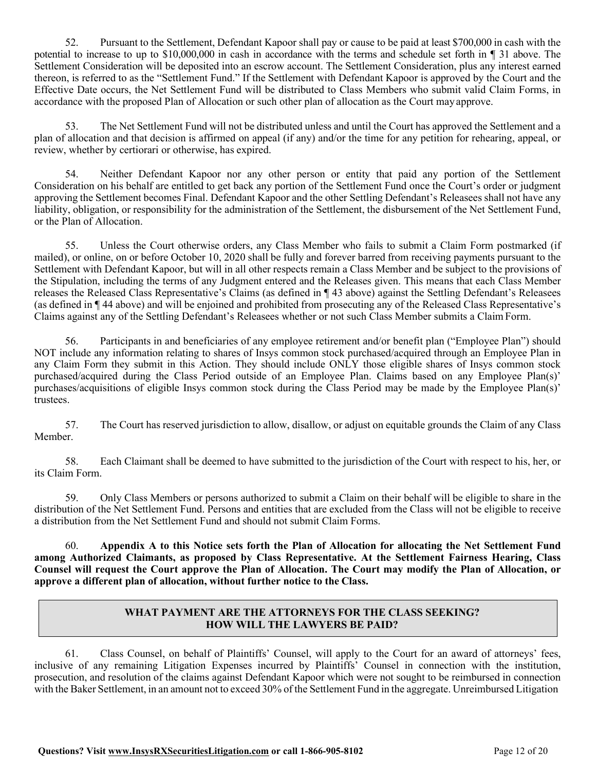52. Pursuant to the Settlement, Defendant Kapoor shall pay or cause to be paid at least \$700,000 in cash with the potential to increase to up to \$10,000,000 in cash in accordance with the terms and schedule set forth in ¶ 31 above. The Settlement Consideration will be deposited into an escrow account. The Settlement Consideration, plus any interest earned thereon, is referred to as the "Settlement Fund." If the Settlement with Defendant Kapoor is approved by the Court and the Effective Date occurs, the Net Settlement Fund will be distributed to Class Members who submit valid Claim Forms, in accordance with the proposed Plan of Allocation or such other plan of allocation as the Court may approve.

53. The Net Settlement Fund will not be distributed unless and until the Court has approved the Settlement and a plan of allocation and that decision is affirmed on appeal (if any) and/or the time for any petition for rehearing, appeal, or review, whether by certiorari or otherwise, has expired.

54. Neither Defendant Kapoor nor any other person or entity that paid any portion of the Settlement Consideration on his behalf are entitled to get back any portion of the Settlement Fund once the Court's order or judgment approving the Settlement becomes Final. Defendant Kapoor and the other Settling Defendant's Releasees shall not have any liability, obligation, or responsibility for the administration of the Settlement, the disbursement of the Net Settlement Fund, or the Plan of Allocation.

55. Unless the Court otherwise orders, any Class Member who fails to submit a Claim Form postmarked (if mailed), or online, on or before October 10, 2020 shall be fully and forever barred from receiving payments pursuant to the Settlement with Defendant Kapoor, but will in all other respects remain a Class Member and be subject to the provisions of the Stipulation, including the terms of any Judgment entered and the Releases given. This means that each Class Member releases the Released Class Representative's Claims (as defined in ¶ 43 above) against the Settling Defendant's Releasees (as defined in ¶ 44 above) and will be enjoined and prohibited from prosecuting any of the Released Class Representative's Claims against any of the Settling Defendant's Releasees whether or not such Class Member submits a ClaimForm.

56. Participants in and beneficiaries of any employee retirement and/or benefit plan ("Employee Plan") should NOT include any information relating to shares of Insys common stock purchased/acquired through an Employee Plan in any Claim Form they submit in this Action. They should include ONLY those eligible shares of Insys common stock purchased/acquired during the Class Period outside of an Employee Plan. Claims based on any Employee Plan(s)' purchases/acquisitions of eligible Insys common stock during the Class Period may be made by the Employee Plan(s)' trustees.

57. The Court has reserved jurisdiction to allow, disallow, or adjust on equitable grounds the Claim of any Class Member.

58. Each Claimant shall be deemed to have submitted to the jurisdiction of the Court with respect to his, her, or its Claim Form.

59. Only Class Members or persons authorized to submit a Claim on their behalf will be eligible to share in the distribution of the Net Settlement Fund. Persons and entities that are excluded from the Class will not be eligible to receive a distribution from the Net Settlement Fund and should not submit Claim Forms.

60. **Appendix A to this Notice sets forth the Plan of Allocation for allocating the Net Settlement Fund among Authorized Claimants, as proposed by Class Representative. At the Settlement Fairness Hearing, Class Counsel will request the Court approve the Plan of Allocation. The Court may modify the Plan of Allocation, or approve a different plan of allocation, without further notice to the Class.**

# **WHAT PAYMENT ARE THE ATTORNEYS FOR THE CLASS SEEKING? HOW WILL THE LAWYERS BE PAID?**

61. Class Counsel, on behalf of Plaintiffs' Counsel, will apply to the Court for an award of attorneys' fees, inclusive of any remaining Litigation Expenses incurred by Plaintiffs' Counsel in connection with the institution, prosecution, and resolution of the claims against Defendant Kapoor which were not sought to be reimbursed in connection with the Baker Settlement, in an amount not to exceed 30% of the Settlement Fund in the aggregate. Unreimbursed Litigation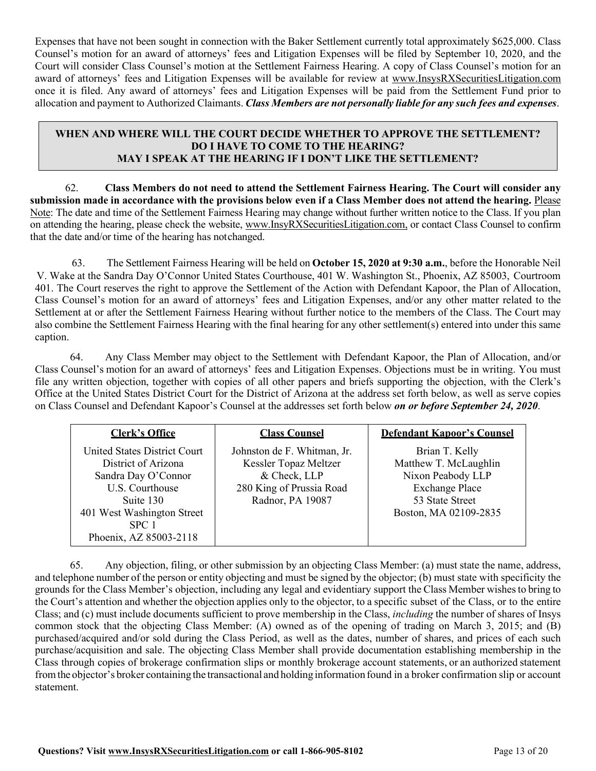Expenses that have not been sought in connection with the Baker Settlement currently total approximately \$625,000. Class Counsel's motion for an award of attorneys' fees and Litigation Expenses will be filed by September 10, 2020, and the Court will consider Class Counsel's motion at the Settlement Fairness Hearing. A copy of Class Counsel's motion for an award of attorneys' fees and Litigation Expenses will be available for review at [www.InsysRXSecuritiesLitigation.com](http://www.insysrxsecuritieslitigation.com/) once it is filed. Any award of attorneys' fees and Litigation Expenses will be paid from the Settlement Fund prior to allocation and payment to Authorized Claimants. *Class Members are not personally liable for any such fees and expenses*.

## **WHEN AND WHERE WILL THE COURT DECIDE WHETHER TO APPROVE THE SETTLEMENT? DO I HAVE TO COME TO THE HEARING? MAY I SPEAK AT THE HEARING IF I DON'T LIKE THE SETTLEMENT?**

62. **Class Members do not need to attend the Settlement Fairness Hearing. The Court will consider any**  submission made in accordance with the provisions below even if a Class Member does not attend the hearing. Please Note: The date and time of the Settlement Fairness Hearing may change without further written notice to the Class. If you plan on attending the hearing, please check the website, [www.InsyRXSecuritiesLitigation.com,](http://www.insyrxsecuritieslitigation.com/) or contact Class Counsel to confirm that the date and/or time of the hearing has notchanged.

63. The Settlement Fairness Hearing will be held on **October 15, 2020 at 9:30 a.m.**, before the Honorable Neil V. Wake at the Sandra Day O'Connor United States Courthouse, 401 W. Washington St., Phoenix, AZ 85003, Courtroom 401. The Court reserves the right to approve the Settlement of the Action with Defendant Kapoor, the Plan of Allocation, Class Counsel's motion for an award of attorneys' fees and Litigation Expenses, and/or any other matter related to the Settlement at or after the Settlement Fairness Hearing without further notice to the members of the Class. The Court may also combine the Settlement Fairness Hearing with the final hearing for any other settlement(s) entered into under this same caption.

64. Any Class Member may object to the Settlement with Defendant Kapoor, the Plan of Allocation, and/or Class Counsel's motion for an award of attorneys' fees and Litigation Expenses. Objections must be in writing. You must file any written objection, together with copies of all other papers and briefs supporting the objection, with the Clerk's Office at the United States District Court for the District of Arizona at the address set forth below, as well as serve copies on Class Counsel and Defendant Kapoor's Counsel at the addresses set forth below *on or before September 24, 2020*.

| <b>Clerk's Office</b>                                                                                                                                                       | <b>Class Counsel</b>                                                                                                 | <b>Defendant Kapoor's Counsel</b>                                                                                                 |
|-----------------------------------------------------------------------------------------------------------------------------------------------------------------------------|----------------------------------------------------------------------------------------------------------------------|-----------------------------------------------------------------------------------------------------------------------------------|
| United States District Court<br>District of Arizona<br>Sandra Day O'Connor<br>U.S. Courthouse<br>Suite 130<br>401 West Washington Street<br>SPC 1<br>Phoenix, AZ 85003-2118 | Johnston de F. Whitman, Jr.<br>Kessler Topaz Meltzer<br>& Check, LLP<br>280 King of Prussia Road<br>Radnor, PA 19087 | Brian T. Kelly<br>Matthew T. McLaughlin<br>Nixon Peabody LLP<br><b>Exchange Place</b><br>53 State Street<br>Boston, MA 02109-2835 |

65. Any objection, filing, or other submission by an objecting Class Member: (a) must state the name, address, and telephone number of the person or entity objecting and must be signed by the objector; (b) must state with specificity the grounds for the Class Member's objection, including any legal and evidentiary support the Class Member wishesto bring to the Court's attention and whether the objection applies only to the objector, to a specific subset of the Class, or to the entire Class; and (c) must include documents sufficient to prove membership in the Class, *including* the number of shares of Insys common stock that the objecting Class Member: (A) owned as of the opening of trading on March 3, 2015; and (B) purchased/acquired and/or sold during the Class Period, as well as the dates, number of shares, and prices of each such purchase/acquisition and sale. The objecting Class Member shall provide documentation establishing membership in the Class through copies of brokerage confirmation slips or monthly brokerage account statements, or an authorized statement fromthe objector's broker containing the transactional and holding information found in a broker confirmation slip or account statement.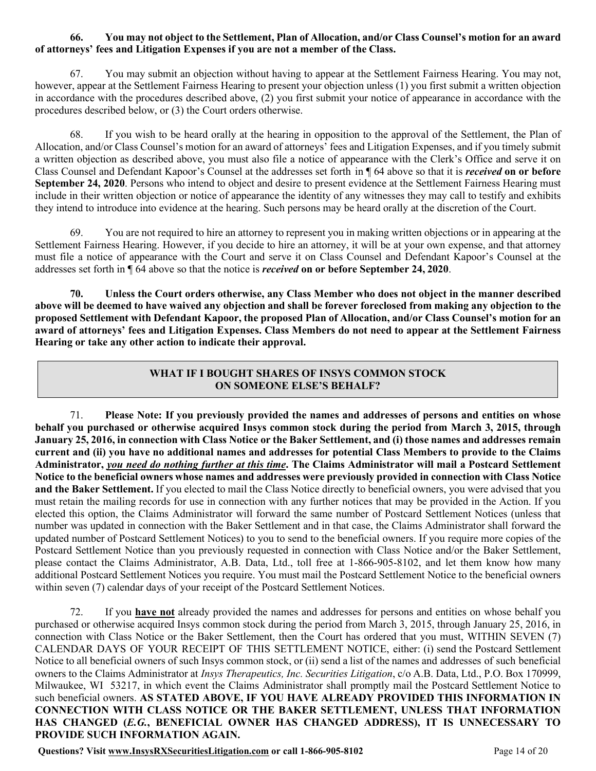#### 66. You may not object to the Settlement, Plan of Allocation, and/or Class Counsel's motion for an award **of attorneys' fees and Litigation Expenses if you are not a member of the Class.**

67. You may submit an objection without having to appear at the Settlement Fairness Hearing. You may not, however, appear at the Settlement Fairness Hearing to present your objection unless (1) you first submit a written objection in accordance with the procedures described above, (2) you first submit your notice of appearance in accordance with the procedures described below, or (3) the Court orders otherwise.

68. If you wish to be heard orally at the hearing in opposition to the approval of the Settlement, the Plan of Allocation, and/or Class Counsel's motion for an award of attorneys' fees and Litigation Expenses, and if you timely submit a written objection as described above, you must also file a notice of appearance with the Clerk's Office and serve it on Class Counsel and Defendant Kapoor's Counsel at the addresses set forth in ¶ 64 above so that it is *received* **on or before September 24, 2020**. Persons who intend to object and desire to present evidence at the Settlement Fairness Hearing must include in their written objection or notice of appearance the identity of any witnesses they may call to testify and exhibits they intend to introduce into evidence at the hearing. Such persons may be heard orally at the discretion of the Court.

69. You are not required to hire an attorney to represent you in making written objections or in appearing at the Settlement Fairness Hearing. However, if you decide to hire an attorney, it will be at your own expense, and that attorney must file a notice of appearance with the Court and serve it on Class Counsel and Defendant Kapoor's Counsel at the addresses set forth in ¶ 64 above so that the notice is *received* **on or before September 24, 2020**.

**70. Unless the Court orders otherwise, any Class Member who does not object in the manner described**  above will be deemed to have waived any objection and shall be forever foreclosed from making any objection to the proposed Settlement with Defendant Kapoor, the proposed Plan of Allocation, and/or Class Counsel's motion for an **award of attorneys' fees and Litigation Expenses. Class Members do not need to appear at the Settlement Fairness Hearing or take any other action to indicate their approval.**

# **WHAT IF I BOUGHT SHARES OF INSYS COMMON STOCK ON SOMEONE ELSE'S BEHALF?**

71. **Please Note: If you previously provided the names and addresses of persons and entities on whose behalf you purchased or otherwise acquired Insys common stock during the period from March 3, 2015, through**  January 25, 2016, in connection with Class Notice or the Baker Settlement, and (i) those names and addresses remain **current and (ii) you have no additional names and addresses for potential Class Members to provide to the Claims Administrator,** *you need do nothing further at this time***. The Claims Administrator will mail a Postcard Settlement**  Notice to the beneficial owners whose names and addresses were previously provided in connection with Class Notice **and the Baker Settlement.** If you elected to mail the Class Notice directly to beneficial owners, you were advised that you must retain the mailing records for use in connection with any further notices that may be provided in the Action. If you elected this option, the Claims Administrator will forward the same number of Postcard Settlement Notices (unless that number was updated in connection with the Baker Settlement and in that case, the Claims Administrator shall forward the updated number of Postcard Settlement Notices) to you to send to the beneficial owners. If you require more copies of the Postcard Settlement Notice than you previously requested in connection with Class Notice and/or the Baker Settlement, please contact the Claims Administrator, A.B. Data, Ltd., toll free at 1-866-905-8102, and let them know how many additional Postcard Settlement Notices you require. You must mail the Postcard Settlement Notice to the beneficial owners within seven (7) calendar days of your receipt of the Postcard Settlement Notices.

72. If you **have not** already provided the names and addresses for persons and entities on whose behalf you purchased or otherwise acquired Insys common stock during the period from March 3, 2015, through January 25, 2016, in connection with Class Notice or the Baker Settlement, then the Court has ordered that you must, WITHIN SEVEN (7) CALENDAR DAYS OF YOUR RECEIPT OF THIS SETTLEMENT NOTICE, either: (i) send the Postcard Settlement Notice to all beneficial owners of such Insys common stock, or (ii) send a list of the names and addresses of such beneficial owners to the Claims Administrator at *Insys Therapeutics, Inc. Securities Litigation*, c/o A.B. Data, Ltd., P.O. Box 170999, Milwaukee, WI 53217, in which event the Claims Administrator shall promptly mail the Postcard Settlement Notice to such beneficial owners. **AS STATED ABOVE, IF YOU HAVE ALREADY PROVIDED THIS INFORMATION IN CONNECTION WITH CLASS NOTICE OR THE BAKER SETTLEMENT, UNLESS THAT INFORMATION HAS CHANGED (***E.G.***, BENEFICIAL OWNER HAS CHANGED ADDRESS), IT IS UNNECESSARY TO PROVIDE SUCH INFORMATION AGAIN.**

**Questions? Visit www.InsysRXSecuritiesLitigation.com or call 1-866-905-8102** Page 14 of 20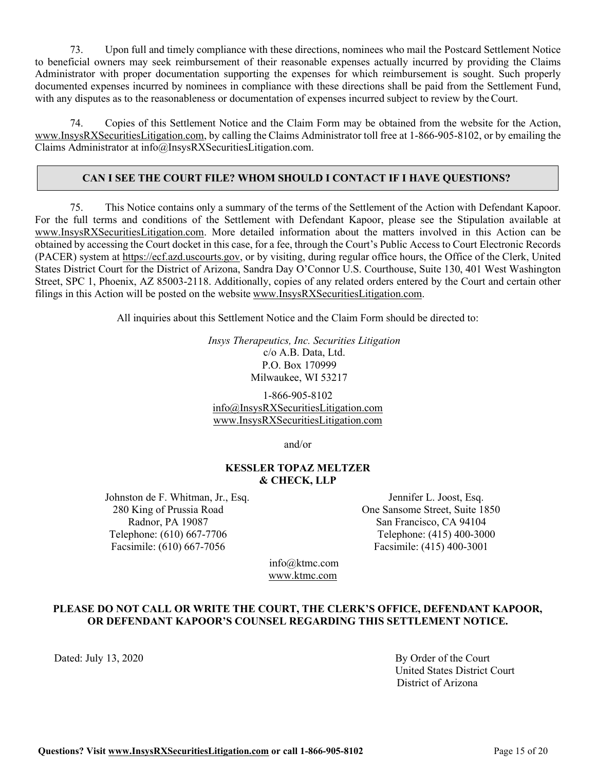73. Upon full and timely compliance with these directions, nominees who mail the Postcard Settlement Notice to beneficial owners may seek reimbursement of their reasonable expenses actually incurred by providing the Claims Administrator with proper documentation supporting the expenses for which reimbursement is sought. Such properly documented expenses incurred by nominees in compliance with these directions shall be paid from the Settlement Fund, with any disputes as to the reasonableness or documentation of expenses incurred subject to review by theCourt.

74. Copies of this Settlement Notice and the Claim Form may be obtained from the website for the Action, [www.InsysRXSecuritiesLitigation.com,](http://www.insysrxsecuritieslitigation.com/) by calling the Claims Administrator toll free at 1-866-905-8102, or by emailing the Claims Administrator at [info@InsysRXSecuritiesLitigation.com.](mailto:info@InsysRXSecuritiesLitigation.com)

## **CAN I SEE THE COURT FILE? WHOM SHOULD I CONTACT IF I HAVE QUESTIONS?**

75. This Notice contains only a summary of the terms of the Settlement of the Action with Defendant Kapoor. For the full terms and conditions of the Settlement with Defendant Kapoor, please see the Stipulation available at [www.InsysRXSecuritiesLitigation.com.](http://www.insysrxsecuritieslitigation.com/) More detailed information about the matters involved in this Action can be obtained by accessing the Court docket in this case, for a fee, through the Court's Public Access to Court Electronic Records (PACER) system at [https://ecf.azd.uscourts.gov,](https://ecf.azd.uscourts.gov/) or by visiting, during regular office hours, the Office of the Clerk, United States District Court for the District of Arizona, Sandra Day O'Connor U.S. Courthouse, Suite 130, 401 West Washington Street, SPC 1, Phoenix, AZ 85003-2118. Additionally, copies of any related orders entered by the Court and certain other filings in this Action will be posted on the website www.InsysRXSecuritiesLitigation.com.

All inquiries about this Settlement Notice and the Claim Form should be directed to:

*Insys Therapeutics, Inc. Securities Litigation* c/o A.B. Data, Ltd. P.O. Box 170999 Milwaukee, WI 53217

1-866-905-8102 [info@InsysRXSecuritiesLitigation.com](mailto:info@InsysRXSecuritiesLitigation.com) [www.InsysRXSecuritiesLitigation.com](http://www.insysrxsecuritieslitigation.com/)

and/or

#### **KESSLER TOPAZ MELTZER & CHECK, LLP**

Johnston de F. Whitman, Jr., Esq. 280 King of Prussia Road Radnor, PA 19087 Telephone: (610) 667-7706 Facsimile: (610) 667-7056

Jennifer L. Joost, Esq. One Sansome Street, Suite 1850 San Francisco, CA 94104 Telephone: (415) 400-3000 Facsimile: (415) 400-3001

[info@ktmc.com](mailto:info@ktmc.com) [www.ktmc.com](http://www.ktmc.com/)

#### **PLEASE DO NOT CALL OR WRITE THE COURT, THE CLERK'S OFFICE, DEFENDANT KAPOOR, OR DEFENDANT KAPOOR'S COUNSEL REGARDING THIS SETTLEMENT NOTICE.**

Dated: July 13, 2020 By Order of the Court United States District Court District of Arizona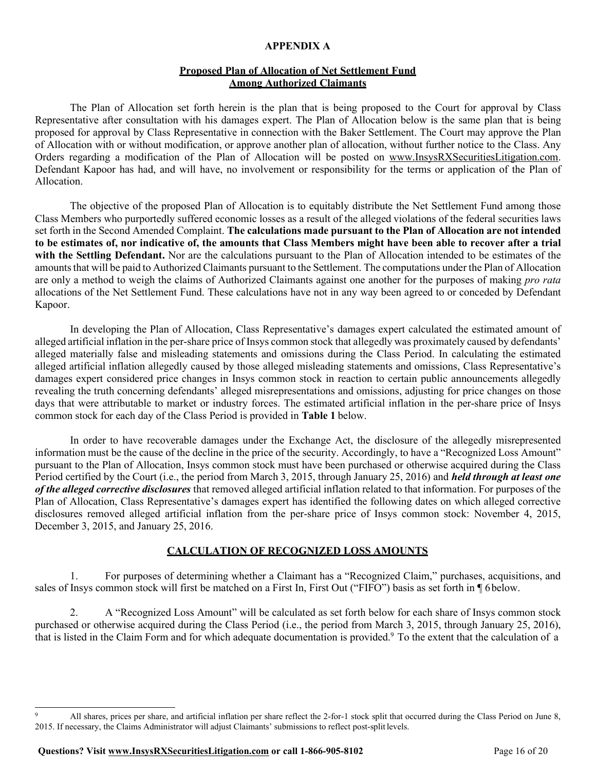#### **APPENDIX A**

### **Proposed Plan of Allocation of Net Settlement Fund Among Authorized Claimants**

The Plan of Allocation set forth herein is the plan that is being proposed to the Court for approval by Class Representative after consultation with his damages expert. The Plan of Allocation below is the same plan that is being proposed for approval by Class Representative in connection with the Baker Settlement. The Court may approve the Plan of Allocation with or without modification, or approve another plan of allocation, without further notice to the Class. Any Orders regarding a modification of the Plan of Allocation will be posted on [www.InsysRXSecuritiesLitigation.com.](http://www.seaworldsecuritieslitigation.com/) Defendant Kapoor has had, and will have, no involvement or responsibility for the terms or application of the Plan of Allocation.

The objective of the proposed Plan of Allocation is to equitably distribute the Net Settlement Fund among those Class Members who purportedly suffered economic losses as a result of the alleged violations of the federal securities laws set forth in the Second Amended Complaint. **The calculations made pursuant to the Plan of Allocation are not intended to be estimates of, nor indicative of, the amounts that Class Members might have been able to recover after a trial with the Settling Defendant.** Nor are the calculations pursuant to the Plan of Allocation intended to be estimates of the amounts that will be paid to Authorized Claimants pursuant to the Settlement. The computations under the Plan of Allocation are only a method to weigh the claims of Authorized Claimants against one another for the purposes of making *pro rata*  allocations of the Net Settlement Fund. These calculations have not in any way been agreed to or conceded by Defendant Kapoor.

In developing the Plan of Allocation, Class Representative's damages expert calculated the estimated amount of alleged artificial inflation in the per-share price of Insys common stock that allegedly was proximately caused by defendants' alleged materially false and misleading statements and omissions during the Class Period. In calculating the estimated alleged artificial inflation allegedly caused by those alleged misleading statements and omissions, Class Representative's damages expert considered price changes in Insys common stock in reaction to certain public announcements allegedly revealing the truth concerning defendants' alleged misrepresentations and omissions, adjusting for price changes on those days that were attributable to market or industry forces. The estimated artificial inflation in the per-share price of Insys common stock for each day of the Class Period is provided in **Table 1** below.

In order to have recoverable damages under the Exchange Act, the disclosure of the allegedly misrepresented information must be the cause of the decline in the price of the security. Accordingly, to have a "Recognized Loss Amount" pursuant to the Plan of Allocation, Insys common stock must have been purchased or otherwise acquired during the Class Period certified by the Court (i.e., the period from March 3, 2015, through January 25, 2016) and *held through at least one of the alleged corrective disclosures* that removed alleged artificial inflation related to that information. For purposes of the Plan of Allocation, Class Representative's damages expert has identified the following dates on which alleged corrective disclosures removed alleged artificial inflation from the per-share price of Insys common stock: November 4, 2015, December 3, 2015, and January 25, 2016.

#### **CALCULATION OF RECOGNIZED LOSS AMOUNTS**

1. For purposes of determining whether a Claimant has a "Recognized Claim," purchases, acquisitions, and sales of Insys common stock will first be matched on a First In, First Out ("FIFO") basis as set forth in ¶ 6 below.

2. A "Recognized Loss Amount" will be calculated as set forth below for each share of Insys common stock purchased or otherwise acquired during the Class Period (i.e., the period from March 3, 2015, through January 25, 2016), that is listed in the Claim Form and for which adequate documentation is provided.<sup>9</sup> To the extent that the calculation of a

<sup>9</sup> All shares, prices per share, and artificial inflation per share reflect the 2-for-1 stock split that occurred during the Class Period on June 8, 2015. If necessary, the Claims Administrator will adjust Claimants' submissions to reflect post-split levels.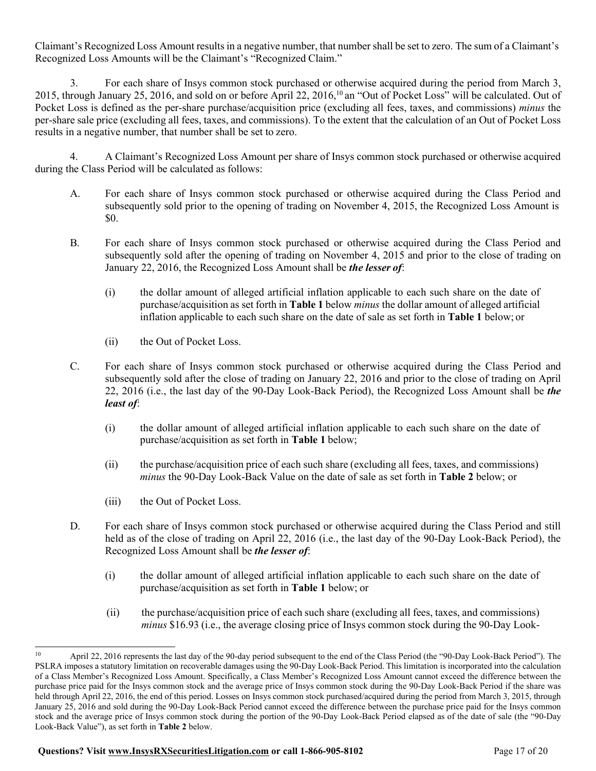Claimant's Recognized Loss Amount resultsin a negative number, that number shall be set to zero. The sum of a Claimant's Recognized Loss Amounts will be the Claimant's "Recognized Claim."

3. For each share of Insys common stock purchased or otherwise acquired during the period from March 3, 2015, through January 25, 2016, and sold on or before April 22, 2016,10 an "Out of Pocket Loss" will be calculated. Out of Pocket Loss is defined as the per-share purchase/acquisition price (excluding all fees, taxes, and commissions) *minus* the per-share sale price (excluding all fees, taxes, and commissions). To the extent that the calculation of an Out of Pocket Loss results in a negative number, that number shall be set to zero.

4. A Claimant's Recognized Loss Amount per share of Insys common stock purchased or otherwise acquired during the Class Period will be calculated as follows:

- A. For each share of Insys common stock purchased or otherwise acquired during the Class Period and subsequently sold prior to the opening of trading on November 4, 2015, the Recognized Loss Amount is \$0.
- B. For each share of Insys common stock purchased or otherwise acquired during the Class Period and subsequently sold after the opening of trading on November 4, 2015 and prior to the close of trading on January 22, 2016, the Recognized Loss Amount shall be *the lesser of*:
	- (i) the dollar amount of alleged artificial inflation applicable to each such share on the date of purchase/acquisition as set forth in **Table 1** below *minus* the dollar amount of alleged artificial inflation applicable to each such share on the date of sale as set forth in **Table 1** below; or
	- (ii) the Out of Pocket Loss.
- C. For each share of Insys common stock purchased or otherwise acquired during the Class Period and subsequently sold after the close of trading on January 22, 2016 and prior to the close of trading on April 22, 2016 (i.e., the last day of the 90-Day Look-Back Period), the Recognized Loss Amount shall be *the least of*:
	- (i) the dollar amount of alleged artificial inflation applicable to each such share on the date of purchase/acquisition as set forth in **Table 1** below;
	- (ii) the purchase/acquisition price of each such share (excluding all fees, taxes, and commissions) *minus* the 90-Day Look-Back Value on the date of sale as set forth in **Table 2** below; or
	- (iii) the Out of Pocket Loss.
- D. For each share of Insys common stock purchased or otherwise acquired during the Class Period and still held as of the close of trading on April 22, 2016 (i.e., the last day of the 90-Day Look-Back Period), the Recognized Loss Amount shall be *the lesser of*:
	- (i) the dollar amount of alleged artificial inflation applicable to each such share on the date of purchase/acquisition as set forth in **Table 1** below; or
	- (ii) the purchase/acquisition price of each such share (excluding all fees, taxes, and commissions) *minus* \$16.93 (i.e., the average closing price of Insys common stock during the 90-Day Look-

<sup>10</sup> April 22, 2016 represents the last day of the 90-day period subsequent to the end of the Class Period (the "90-Day Look-Back Period"). The PSLRA imposes a statutory limitation on recoverable damages using the 90-Day Look-Back Period. This limitation is incorporated into the calculation of a Class Member's Recognized Loss Amount. Specifically, a Class Member's Recognized Loss Amount cannot exceed the difference between the purchase price paid for the Insys common stock and the average price of Insys common stock during the 90-Day Look-Back Period if the share was held through April 22, 2016, the end of this period. Losses on Insys common stock purchased/acquired during the period from March 3, 2015, through January 25, 2016 and sold during the 90-Day Look-Back Period cannot exceed the difference between the purchase price paid for the Insys common stock and the average price of Insys common stock during the portion of the 90-Day Look-Back Period elapsed as of the date of sale (the "90-Day Look-Back Value"), as set forth in **Table 2** below.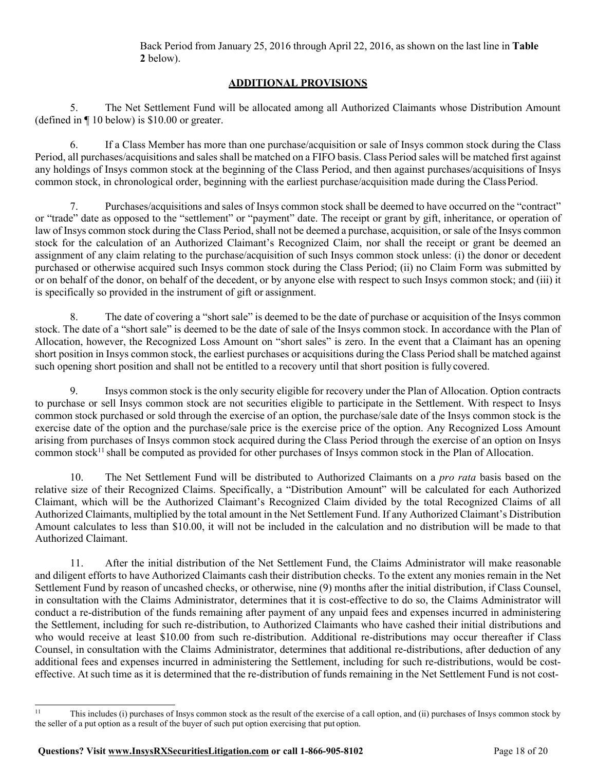# **ADDITIONAL PROVISIONS**

5. The Net Settlement Fund will be allocated among all Authorized Claimants whose Distribution Amount (defined in ¶ 10 below) is \$10.00 or greater.

6. If a Class Member has more than one purchase/acquisition or sale of Insys common stock during the Class Period, all purchases/acquisitions and sales shall be matched on a FIFO basis. Class Period sales will be matched first against any holdings of Insys common stock at the beginning of the Class Period, and then against purchases/acquisitions of Insys common stock, in chronological order, beginning with the earliest purchase/acquisition made during the ClassPeriod.

7. Purchases/acquisitions and sales of Insys common stock shall be deemed to have occurred on the "contract" or "trade" date as opposed to the "settlement" or "payment" date. The receipt or grant by gift, inheritance, or operation of law of Insys common stock during the Class Period, shall not be deemed a purchase, acquisition, or sale of the Insys common stock for the calculation of an Authorized Claimant's Recognized Claim, nor shall the receipt or grant be deemed an assignment of any claim relating to the purchase/acquisition of such Insys common stock unless: (i) the donor or decedent purchased or otherwise acquired such Insys common stock during the Class Period; (ii) no Claim Form was submitted by or on behalf of the donor, on behalf of the decedent, or by anyone else with respect to such Insys common stock; and (iii) it is specifically so provided in the instrument of gift or assignment.

8. The date of covering a "short sale" is deemed to be the date of purchase or acquisition of the Insys common stock. The date of a "short sale" is deemed to be the date of sale of the Insys common stock. In accordance with the Plan of Allocation, however, the Recognized Loss Amount on "short sales" is zero. In the event that a Claimant has an opening short position in Insys common stock, the earliest purchases or acquisitions during the Class Period shall be matched against such opening short position and shall not be entitled to a recovery until that short position is fully covered.

9. Insys common stock is the only security eligible for recovery under the Plan of Allocation. Option contracts to purchase or sell Insys common stock are not securities eligible to participate in the Settlement. With respect to Insys common stock purchased or sold through the exercise of an option, the purchase/sale date of the Insys common stock is the exercise date of the option and the purchase/sale price is the exercise price of the option. Any Recognized Loss Amount arising from purchases of Insys common stock acquired during the Class Period through the exercise of an option on Insys common stock<sup>11</sup> shall be computed as provided for other purchases of Insys common stock in the Plan of Allocation.

10. The Net Settlement Fund will be distributed to Authorized Claimants on a *pro rata* basis based on the relative size of their Recognized Claims. Specifically, a "Distribution Amount" will be calculated for each Authorized Claimant, which will be the Authorized Claimant's Recognized Claim divided by the total Recognized Claims of all Authorized Claimants, multiplied by the total amount in the Net Settlement Fund. If any Authorized Claimant's Distribution Amount calculates to less than \$10.00, it will not be included in the calculation and no distribution will be made to that Authorized Claimant.

11. After the initial distribution of the Net Settlement Fund, the Claims Administrator will make reasonable and diligent efforts to have Authorized Claimants cash their distribution checks. To the extent any monies remain in the Net Settlement Fund by reason of uncashed checks, or otherwise, nine (9) months after the initial distribution, if Class Counsel, in consultation with the Claims Administrator, determines that it is cost-effective to do so, the Claims Administrator will conduct a re-distribution of the funds remaining after payment of any unpaid fees and expenses incurred in administering the Settlement, including for such re-distribution, to Authorized Claimants who have cashed their initial distributions and who would receive at least \$10.00 from such re-distribution. Additional re-distributions may occur thereafter if Class Counsel, in consultation with the Claims Administrator, determines that additional re-distributions, after deduction of any additional fees and expenses incurred in administering the Settlement, including for such re-distributions, would be costeffective. At such time as it is determined that the re-distribution of funds remaining in the Net Settlement Fund is not cost-

<sup>11</sup> This includes (i) purchases of Insys common stock as the result of the exercise of a call option, and (ii) purchases of Insys common stock by the seller of a put option as a result of the buyer of such put option exercising that put option.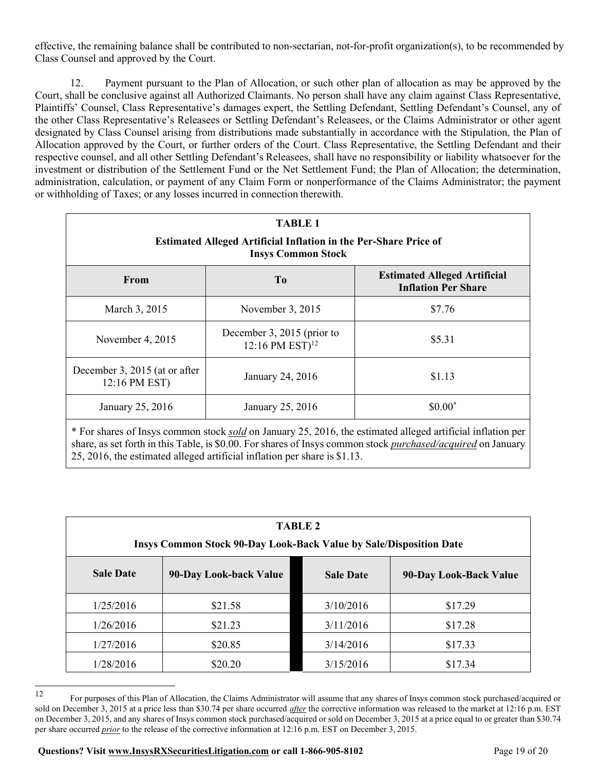effective, the remaining balance shall be contributed to non-sectarian, not-for-profit organization(s), to be recommended by Class Counsel and approved by the Court.

12. Payment pursuant to the Plan of Allocation, or such other plan of allocation as may be approved by the Court, shall be conclusive against all Authorized Claimants. No person shall have any claim against Class Representative, Plaintiffs' Counsel, Class Representative's damages expert, the Settling Defendant, Settling Defendant's Counsel, any of the other Class Representative's Releasees or Settling Defendant's Releasees, or the Claims Administrator or other agent designated by Class Counsel arising from distributions made substantially in accordance with the Stipulation, the Plan of Allocation approved by the Court, or further orders of the Court. Class Representative, the Settling Defendant and their respective counsel, and all other Settling Defendant's Releasees, shall have no responsibility or liability whatsoever for the investment or distribution of the Settlement Fund or the Net Settlement Fund; the Plan of Allocation; the determination, administration, calculation, or payment of any Claim Form or nonperformance of the Claims Administrator; the payment or withholding of Taxes; or any losses incurred in connection therewith.

| <b>TABLE 1</b><br><b>Estimated Alleged Artificial Inflation in the Per-Share Price of</b><br><b>Insys Common Stock</b> |                                                           |                                                                   |  |
|------------------------------------------------------------------------------------------------------------------------|-----------------------------------------------------------|-------------------------------------------------------------------|--|
| From                                                                                                                   | T <sub>0</sub>                                            | <b>Estimated Alleged Artificial</b><br><b>Inflation Per Share</b> |  |
| March 3, 2015                                                                                                          | November 3, 2015                                          | \$7.76                                                            |  |
| November 4, 2015                                                                                                       | December 3, 2015 (prior to<br>12:16 PM EST) <sup>12</sup> | \$5.31                                                            |  |
| December 3, 2015 (at or after<br>12:16 PM EST)                                                                         | January 24, 2016                                          | \$1.13                                                            |  |
| January 25, 2016                                                                                                       | January 25, 2016                                          | $$0.00*$                                                          |  |
| * For shares of Insys common stock <i>sold</i> on January 25, 2016, the estimated alleged artificial inflation per     |                                                           |                                                                   |  |

share, as set forth in this Table, is \$0.00. For shares of Insys common stock *purchased/acquired* on January 25, 2016, the estimated alleged artificial inflation per share is \$1.13.

| <b>TABLE 2</b><br><b>Insys Common Stock 90-Day Look-Back Value by Sale/Disposition Date</b> |                        |                  |                        |
|---------------------------------------------------------------------------------------------|------------------------|------------------|------------------------|
| <b>Sale Date</b>                                                                            | 90-Day Look-back Value | <b>Sale Date</b> | 90-Day Look-Back Value |
| 1/25/2016                                                                                   | \$21.58                | 3/10/2016        | \$17.29                |
| 1/26/2016                                                                                   | \$21.23                | 3/11/2016        | \$17.28                |
| 1/27/2016                                                                                   | \$20.85                | 3/14/2016        | \$17.33                |
| 1/28/2016                                                                                   | \$20.20                | 3/15/2016        | \$17.34                |

<sup>12</sup> For purposes of this Plan of Allocation, the Claims Administrator will assume that any shares of Insys common stock purchased/acquired or sold on December 3, 2015 at a price less than \$30.74 per share occurred *after* the corrective information was released to the market at 12:16 p.m. EST on December 3, 2015, and any shares of Insys common stock purchased/acquired or sold on December 3, 2015 at a price equal to or greater than \$30.74 per share occurred *prior* to the release of the corrective information at 12:16 p.m. EST on December 3, 2015.